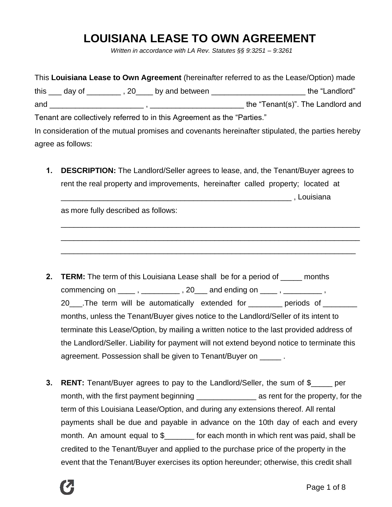# **LOUISIANA LEASE TO OWN AGREEMENT**

*Written in accordance with LA Rev. Statutes §§ 9:3251 – 9:3261*

|                                                                                                  |  | This Louisiana Lease to Own Agreement (hereinafter referred to as the Lease/Option) made |
|--------------------------------------------------------------------------------------------------|--|------------------------------------------------------------------------------------------|
| this $\frac{1}{2}$ day of $\frac{1}{2}$ , 20 by and between $\frac{1}{2}$                        |  | the "Landlord"                                                                           |
|                                                                                                  |  | the "Tenant(s)". The Landlord and                                                        |
| Tenant are collectively referred to in this Agreement as the "Parties."                          |  |                                                                                          |
| In consideration of the mutual promises and covenants hereinafter stipulated, the parties hereby |  |                                                                                          |
| agree as follows:                                                                                |  |                                                                                          |

**1. DESCRIPTION:** The Landlord/Seller agrees to lease, and, the Tenant/Buyer agrees to rent the real property and improvements, hereinafter called property; located at \_\_\_\_\_\_\_\_\_\_\_\_\_\_\_\_\_\_\_\_\_\_\_\_\_\_\_\_\_\_\_\_\_\_\_\_\_\_\_\_\_\_\_\_\_\_\_\_\_\_\_\_\_\_ , Louisiana

\_\_\_\_\_\_\_\_\_\_\_\_\_\_\_\_\_\_\_\_\_\_\_\_\_\_\_\_\_\_\_\_\_\_\_\_\_\_\_\_\_\_\_\_\_\_\_\_\_\_\_\_\_\_\_\_\_\_\_\_\_\_\_\_\_\_\_\_\_\_

\_\_\_\_\_\_\_\_\_\_\_\_\_\_\_\_\_\_\_\_\_\_\_\_\_\_\_\_\_\_\_\_\_\_\_\_\_\_\_\_\_\_\_\_\_\_\_\_\_\_\_\_\_\_\_\_\_\_\_\_\_\_\_\_\_\_\_\_\_\_

\_\_\_\_\_\_\_\_\_\_\_\_\_\_\_\_\_\_\_\_\_\_\_\_\_\_\_\_\_\_\_\_\_\_\_\_\_\_\_\_\_\_\_\_\_\_\_\_\_\_\_\_\_\_\_\_\_\_\_\_\_\_\_\_\_\_\_\_\_

as more fully described as follows:

**2. TERM:** The term of this Louisiana Lease shall be for a period of \_\_\_\_\_ months commencing on  $\frac{1}{\sqrt{2}}$ ,  $\frac{1}{\sqrt{2}}$ ,  $\frac{1}{\sqrt{2}}$  ,  $\frac{1}{\sqrt{2}}$  and ending on  $\frac{1}{\sqrt{2}}$ ,  $\frac{1}{\sqrt{2}}$ , 20\_\_\_\_.The term will be automatically extended for \_\_\_\_\_\_\_\_ periods of \_\_\_\_\_\_\_\_ months, unless the Tenant/Buyer gives notice to the Landlord/Seller of its intent to terminate this Lease/Option, by mailing a written notice to the last provided address of the Landlord/Seller. Liability for payment will not extend beyond notice to terminate this agreement. Possession shall be given to Tenant/Buyer on \_\_\_\_\_ .

**3. RENT:** Tenant/Buyer agrees to pay to the Landlord/Seller, the sum of \$\_\_\_\_\_ per month, with the first payment beginning \_\_\_\_\_\_\_\_\_\_\_\_\_\_\_\_\_\_\_\_\_\_\_\_ as rent for the property, for the term of this Louisiana Lease/Option, and during any extensions thereof. All rental payments shall be due and payable in advance on the 10th day of each and every month. An amount equal to \$\_\_\_\_\_\_\_ for each month in which rent was paid, shall be credited to the Tenant/Buyer and applied to the purchase price of the property in the event that the Tenant/Buyer exercises its option hereunder; otherwise, this credit shall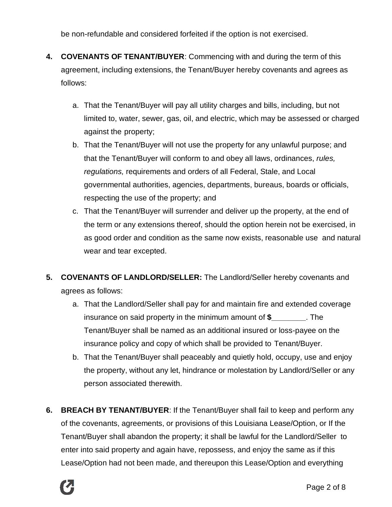be non-refundable and considered forfeited if the option is not exercised.

- **4. COVENANTS OF TENANT/BUYER**: Commencing with and during the term of this agreement, including extensions, the Tenant/Buyer hereby covenants and agrees as follows:
	- a. That the Tenant/Buyer will pay all utility charges and bills, including, but not limited to, water, sewer, gas, oil, and electric, which may be assessed or charged against the property;
	- b. That the Tenant/Buyer will not use the property for any unlawful purpose; and that the Tenant/Buyer will conform to and obey all laws, ordinances, *rules, regulations,* requirements and orders of all Federal, Stale, and Local governmental authorities, agencies, departments, bureaus, boards or officials, respecting the use of the property; and
	- c. That the Tenant/Buyer will surrender and deliver up the property, at the end of the term or any extensions thereof, should the option herein not be exercised, in as good order and condition as the same now exists, reasonable use and natural wear and tear excepted.
- **5. COVENANTS OF LANDLORD/SELLER:** The Landlord/Seller hereby covenants and agrees as follows:
	- a. That the Landlord/Seller shall pay for and maintain fire and extended coverage insurance on said property in the minimum amount of **\$\_\_\_\_\_\_\_\_**. The Tenant/Buyer shall be named as an additional insured or loss-payee on the insurance policy and copy of which shall be provided to Tenant/Buyer.
	- b. That the Tenant/Buyer shall peaceably and quietly hold, occupy, use and enjoy the property, without any let, hindrance or molestation by Landlord/Seller or any person associated therewith.
- **6. BREACH BY TENANT/BUYER**: If the Tenant/Buyer shall fail to keep and perform any of the covenants, agreements, or provisions of this Louisiana Lease/Option, or If the Tenant/Buyer shall abandon the property; it shall be lawful for the Landlord/Seller to enter into said property and again have, repossess, and enjoy the same as if this Lease/Option had not been made, and thereupon this Lease/Option and everything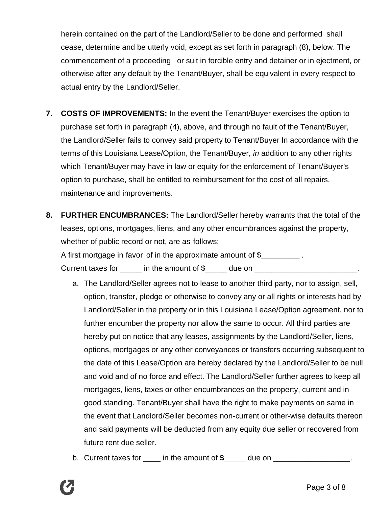herein contained on the part of the Landlord/Seller to be done and performed shall cease, determine and be utterly void, except as set forth in paragraph (8), below. The commencement of a proceeding or suit in forcible entry and detainer or in ejectment, or otherwise after any default by the Tenant/Buyer, shall be equivalent in every respect to actual entry by the Landlord/Seller.

- **7. COSTS OF IMPROVEMENTS:** In the event the Tenant/Buyer exercises the option to purchase set forth in paragraph (4), above, and through no fault of the Tenant/Buyer, the Landlord/Seller fails to convey said property to Tenant/Buyer In accordance with the terms of this Louisiana Lease/Option, the Tenant/Buyer, *in* addition to any other rights which Tenant/Buyer may have in law or equity for the enforcement of Tenant/Buyer's option to purchase, shall be entitled to reimbursement for the cost of all repairs, maintenance and improvements.
- **8. FURTHER ENCUMBRANCES:** The Landlord/Seller hereby warrants that the total of the leases, options, mortgages, liens, and any other encumbrances against the property, whether of public record or not, are as follows: A first mortgage in favor of in the approximate amount of \$

Current taxes for  $\qquad \qquad$  in the amount of \$  $\qquad \qquad$  due on  $\qquad \qquad$ .

- a. The Landlord/Seller agrees not to lease to another third party, nor to assign, sell, option, transfer, pledge or otherwise to convey any or all rights or interests had by Landlord/Seller in the property or in this Louisiana Lease/Option agreement, nor to further encumber the property nor allow the same to occur. All third parties are hereby put on notice that any leases, assignments by the Landlord/Seller, liens, options, mortgages or any other conveyances or transfers occurring subsequent to the date of this Lease/Option are hereby declared by the Landlord/Seller to be null and void and of no force and effect. The Landlord/Seller further agrees to keep all mortgages, liens, taxes or other encumbrances on the property, current and in good standing. Tenant/Buyer shall have the right to make payments on same in the event that Landlord/Seller becomes non-current or other-wise defaults thereon and said payments will be deducted from any equity due seller or recovered from future rent due seller.
- b. Current taxes for  $\qquad \qquad$  in the amount of **\$**  $\qquad \qquad$  due on  $\qquad \qquad$ .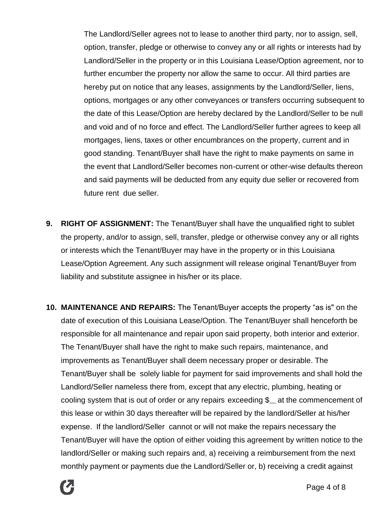The Landlord/Seller agrees not to lease to another third party, nor to assign, sell, option, transfer, pledge or otherwise to convey any or all rights or interests had by Landlord/Seller in the property or in this Louisiana Lease/Option agreement, nor to further encumber the property nor allow the same to occur. All third parties are hereby put on notice that any leases, assignments by the Landlord/Seller, liens, options, mortgages or any other conveyances or transfers occurring subsequent to the date of this Lease/Option are hereby declared by the Landlord/Seller to be null and void and of no force and effect. The Landlord/Seller further agrees to keep all mortgages, liens, taxes or other encumbrances on the property, current and in good standing. Tenant/Buyer shall have the right to make payments on same in the event that Landlord/Seller becomes non-current or other-wise defaults thereon and said payments will be deducted from any equity due seller or recovered from future rent due seller.

- **9. RIGHT OF ASSIGNMENT:** The Tenant/Buyer shall have the unqualified right to sublet the property, and/or to assign, sell, transfer, pledge or otherwise convey any or all rights or interests which the Tenant/Buyer may have in the property or in this Louisiana Lease/Option Agreement. Any such assignment will release original Tenant/Buyer from liability and substitute assignee in his/her or its place.
- **10. MAINTENANCE AND REPAIRS:** The Tenant/Buyer accepts the property "as is" on the date of execution of this Louisiana Lease/Option. The Tenant/Buyer shall henceforth be responsible for all maintenance and repair upon said property, both interior and exterior. The Tenant/Buyer shall have the right to make such repairs, maintenance, and improvements as Tenant/Buyer shall deem necessary proper or desirable. The Tenant/Buyer shall be solely liable for payment for said improvements and shall hold the Landlord/Seller nameless there from, except that any electric, plumbing, heating or cooling system that is out of order or any repairs exceeding  $\frac{1}{2}$  at the commencement of this lease or within 30 days thereafter will be repaired by the landlord/Seller at his/her expense. If the landlord/Seller cannot or will not make the repairs necessary the Tenant/Buyer will have the option of either voiding this agreement by written notice to the landlord/Seller or making such repairs and, a) receiving a reimbursement from the next monthly payment or payments due the Landlord/Seller or, b) receiving a credit against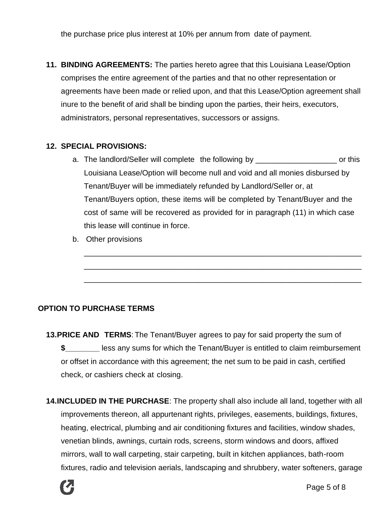the purchase price plus interest at 10% per annum from date of payment.

**11. BINDING AGREEMENTS:** The parties hereto agree that this Louisiana Lease/Option comprises the entire agreement of the parties and that no other representation or agreements have been made or relied upon, and that this Lease/Option agreement shall inure to the benefit of arid shall be binding upon the parties, their heirs, executors, administrators, personal representatives, successors or assigns.

#### **12. SPECIAL PROVISIONS:**

a. The landlord/Seller will complete the following by example the set or this Louisiana Lease/Option will become null and void and all monies disbursed by Tenant/Buyer will be immediately refunded by Landlord/Seller or, at Tenant/Buyers option, these items will be completed by Tenant/Buyer and the cost of same will be recovered as provided for in paragraph (11) in which case this lease will continue in force.

\_\_\_\_\_\_\_\_\_\_\_\_\_\_\_\_\_\_\_\_\_\_\_\_\_\_\_\_\_\_\_\_\_\_\_\_\_\_\_\_\_\_\_\_\_\_\_\_\_\_\_\_\_\_\_\_\_\_\_\_\_\_\_\_\_

\_\_\_\_\_\_\_\_\_\_\_\_\_\_\_\_\_\_\_\_\_\_\_\_\_\_\_\_\_\_\_\_\_\_\_\_\_\_\_\_\_\_\_\_\_\_\_\_\_\_\_\_\_\_\_\_\_\_\_\_\_\_\_\_\_

\_\_\_\_\_\_\_\_\_\_\_\_\_\_\_\_\_\_\_\_\_\_\_\_\_\_\_\_\_\_\_\_\_\_\_\_\_\_\_\_\_\_\_\_\_\_\_\_\_\_\_\_\_\_\_\_\_\_\_\_\_\_\_\_\_

b. Other provisions

#### **OPTION TO PURCHASE TERMS**

- **13.PRICE AND TERMS**: The Tenant/Buyer agrees to pay for said property the sum of **\$\_\_\_\_\_\_\_\_** less any sums for which the Tenant/Buyer is entitled to claim reimbursement or offset in accordance with this agreement; the net sum to be paid in cash, certified check, or cashiers check at closing.
- **14.INCLUDED IN THE PURCHASE**: The property shall also include all land, together with all improvements thereon, all appurtenant rights, privileges, easements, buildings, fixtures, heating, electrical, plumbing and air conditioning fixtures and facilities, window shades, venetian blinds, awnings, curtain rods, screens, storm windows and doors, affixed mirrors, wall to wall carpeting, stair carpeting, built in kitchen appliances, bath-room fixtures, radio and television aerials, landscaping and shrubbery, water softeners, garage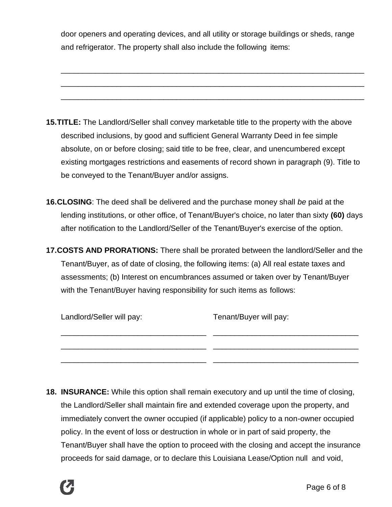door openers and operating devices, and all utility or storage buildings or sheds, range and refrigerator. The property shall also include the following items:

\_\_\_\_\_\_\_\_\_\_\_\_\_\_\_\_\_\_\_\_\_\_\_\_\_\_\_\_\_\_\_\_\_\_\_\_\_\_\_\_\_\_\_\_\_\_\_\_\_\_\_\_\_\_\_\_\_\_\_\_\_\_\_\_\_\_\_\_\_\_\_

\_\_\_\_\_\_\_\_\_\_\_\_\_\_\_\_\_\_\_\_\_\_\_\_\_\_\_\_\_\_\_\_\_\_\_\_\_\_\_\_\_\_\_\_\_\_\_\_\_\_\_\_\_\_\_\_\_\_\_\_\_\_\_\_\_\_\_\_\_\_\_

\_\_\_\_\_\_\_\_\_\_\_\_\_\_\_\_\_\_\_\_\_\_\_\_\_\_\_\_\_\_\_\_\_\_\_\_\_\_\_\_\_\_\_\_\_\_\_\_\_\_\_\_\_\_\_\_\_\_\_\_\_\_\_\_\_\_\_\_\_\_\_

**15.TITLE:** The Landlord/Seller shall convey marketable title to the property with the above described inclusions, by good and sufficient General Warranty Deed in fee simple absolute, on or before closing; said title to be free, clear, and unencumbered except existing mortgages restrictions and easements of record shown in paragraph (9). Title to be conveyed to the Tenant/Buyer and/or assigns.

- **16.CLOSING**: The deed shall be delivered and the purchase money shall *be* paid at the lending institutions, or other office, of Tenant/Buyer's choice, no later than sixty **(60)** days after notification to the Landlord/Seller of the Tenant/Buyer's exercise of the option.
- **17.COSTS AND PRORATIONS:** There shall be prorated between the landlord/Seller and the Tenant/Buyer, as of date of closing, the following items: (a) All real estate taxes and assessments; (b) Interest on encumbrances assumed or taken over by Tenant/Buyer with the Tenant/Buyer having responsibility for such items as follows:

| Landlord/Seller will pay: | Tenant/Buyer will pay: |
|---------------------------|------------------------|
|                           |                        |
|                           |                        |

**18. INSURANCE:** While this option shall remain executory and up until the time of closing, the Landlord/Seller shall maintain fire and extended coverage upon the property, and immediately convert the owner occupied (if applicable) policy to a non-owner occupied policy. In the event of loss or destruction in whole or in part of said property, the Tenant/Buyer shall have the option to proceed with the closing and accept the insurance proceeds for said damage, or to declare this Louisiana Lease/Option null and void,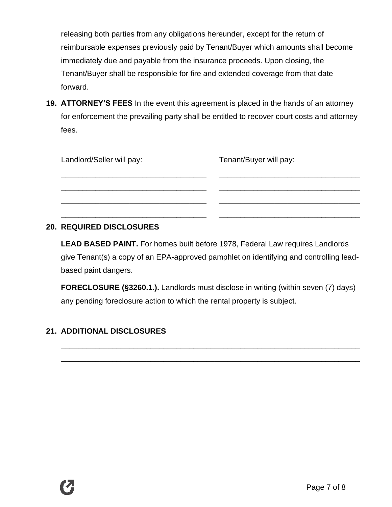releasing both parties from any obligations hereunder, except for the return of reimbursable expenses previously paid by Tenant/Buyer which amounts shall become immediately due and payable from the insurance proceeds. Upon closing, the Tenant/Buyer shall be responsible for fire and extended coverage from that date forward.

**19. ATTORNEY'S FEES** In the event this agreement is placed in the hands of an attorney for enforcement the prevailing party shall be entitled to recover court costs and attorney fees.

| Landlord/Seller will pay: | Tenant/Buyer will pay: |
|---------------------------|------------------------|
|                           |                        |
|                           |                        |
|                           |                        |

### **20. REQUIRED DISCLOSURES**

**LEAD BASED PAINT.** For homes built before 1978, Federal Law requires Landlords give Tenant(s) a copy of an EPA-approved pamphlet on identifying and controlling leadbased paint dangers.

**FORECLOSURE (§3260.1.).** Landlords must disclose in writing (within seven (7) days) any pending foreclosure action to which the rental property is subject.

\_\_\_\_\_\_\_\_\_\_\_\_\_\_\_\_\_\_\_\_\_\_\_\_\_\_\_\_\_\_\_\_\_\_\_\_\_\_\_\_\_\_\_\_\_\_\_\_\_\_\_\_\_\_\_\_\_\_\_\_\_\_\_\_\_\_\_\_\_\_

\_\_\_\_\_\_\_\_\_\_\_\_\_\_\_\_\_\_\_\_\_\_\_\_\_\_\_\_\_\_\_\_\_\_\_\_\_\_\_\_\_\_\_\_\_\_\_\_\_\_\_\_\_\_\_\_\_\_\_\_\_\_\_\_\_\_\_\_\_\_

## **21. ADDITIONAL DISCLOSURES**